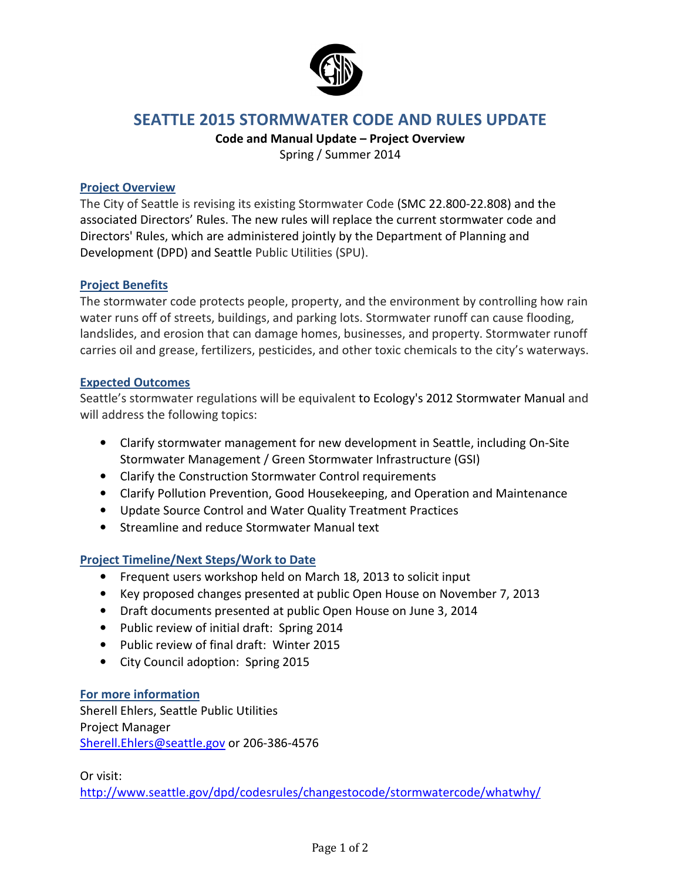

### SEATTLE 2015 STORMWATER CODE AND RULES UPDATE

# Code and Manual Update – Project Overview

Spring / Summer 2014

#### Project Overview

The City of Seattle is revising its existing Stormwater Code (SMC 22.800-22.808) and the associated Directors' Rules. The new rules will replace the current stormwater code and Directors' Rules, which are administered jointly by the Department of Planning and Development (DPD) and Seattle Public Utilities (SPU).

#### Project Benefits

The stormwater code protects people, property, and the environment by controlling how rain water runs off of streets, buildings, and parking lots. Stormwater runoff can cause flooding, landslides, and erosion that can damage homes, businesses, and property. Stormwater runoff carries oil and grease, fertilizers, pesticides, and other toxic chemicals to the city's waterways.

#### Expected Outcomes

Seattle's stormwater regulations will be equivalent to Ecology's 2012 Stormwater Manual and will address the following topics:

- Clarify stormwater management for new development in Seattle, including On-Site Stormwater Management / Green Stormwater Infrastructure (GSI)
- Clarify the Construction Stormwater Control requirements
- Clarify Pollution Prevention, Good Housekeeping, and Operation and Maintenance
- Update Source Control and Water Quality Treatment Practices
- Streamline and reduce Stormwater Manual text

#### Project Timeline/Next Steps/Work to Date

- Frequent users workshop held on March 18, 2013 to solicit input
- Key proposed changes presented at public Open House on November 7, 2013
- Draft documents presented at public Open House on June 3, 2014
- Public review of initial draft: Spring 2014
- Public review of final draft: Winter 2015
- City Council adoption: Spring 2015

#### For more information

Sherell Ehlers, Seattle Public Utilities Project Manager Sherell.Ehlers@seattle.gov or 206-386-4576

Or visit:

http://www.seattle.gov/dpd/codesrules/changestocode/stormwatercode/whatwhy/